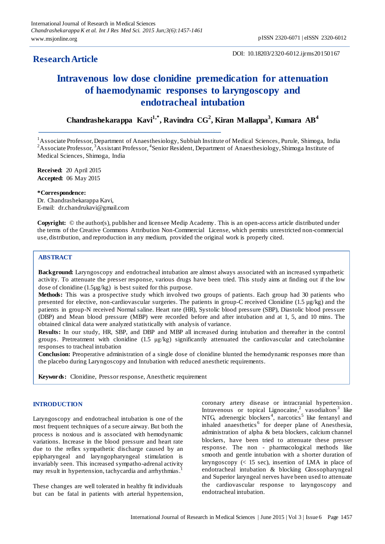# **ResearchArticle**

# **Intravenous low dose clonidine premedication for attenuation of haemodynamic responses to laryngoscopy and endotracheal intubation**

**Chandrashekarappa Kavi1,\* , Ravindra CG<sup>2</sup> , Kiran Mallappa<sup>3</sup> , Kumara AB 4**

<sup>1</sup> Associate Professor, Department of Anaesthesiology, Subbiah Institute of Medical Sciences, Purule, Shimoga, India  ${}^{2}$ Associate Professor,  ${}^{3}$ Assistant Professor,  ${}^{4}$ Senior Resident, Department of Anaesthesiology, Shimoga Institute of Medical Sciences, Shimoga, India

**Received:** 20 April 2015 **Accepted:** 06 May 2015

#### **\*Correspondence:**

Dr. Chandrashekarappa Kavi, E-mail: dr.chandrukavi@gmail.com

**Copyright:** © the author(s), publisher and licensee Medip Academy. This is an open-access article distributed under the terms of the Creative Commons Attribution Non-Commercial License, which permits unrestricted non-commercial use, distribution, and reproduction in any medium, provided the original work is properly cited.

## **ABSTRACT**

**Background:** Laryngoscopy and endotracheal intubation are almost always associated with an increased sympathetic activity. To attenuate the presser response, various drugs have been tried. This study aims at finding out if the low dose of clonidine (1.5µg/kg) is best suited for this purpose.

**Methods:** This was a prospective study which involved two groups of patients. Each group had 30 patients who presented for elective, non-cardiovascular surgeries. The patients in group-C received Clonidine (1.5 µg/kg) and the patients in group-N received Normal saline. Heart rate (HR), Systolic blood pressure (SBP), Diastolic blood pressure (DBP) and Mean blood pressure (MBP) were recorded before and after intubation and at 1, 5, and 10 mins. The obtained clinical data were analyzed statistically with analysis of variance.

**Results:** In our study, HR, SBP, and DBP and MBP all increased during intubation and thereafter in the control groups. Pretreatment with clonidine (1.5 μg/kg) significantly attenuated the cardiovascular and catecholamine responses to tracheal intubation

**Conclusion:** Preoperative administration of a single dose of clonidine blunted the hemodynamic responses more than the placebo during Laryngoscopy and Intubation with reduced anesthetic requirements.

**Keywords:** Clonidine, Pressor response, Anesthetic requirement

#### **INTRODUCTION**

Laryngoscopy and endotracheal intubation is one of the most frequent techniques of a secure airway. But both the process is noxious and is associated with hemodynamic variations. Increase in the blood pressure and heart rate due to the reflex sympathetic discharge caused by an epipharyngeal and laryngopharyngeal stimulation is invariably seen. This increased sympatho-adrenal activity may result in hypertension, tachycardia and arrhythmias.<sup>1</sup>

These changes are well tolerated in healthy fit individuals but can be fatal in patients with arterial hypertension, coronary artery disease or intracranial hypertension. Intravenous or topical Lignocaine,<sup>2</sup> vasodialtors<sup>3</sup> like NTG, adrenergic blockers<sup>4</sup>, narcotics<sup>5</sup> like fentanyl and inhaled anaesthetics<sup>6</sup> for deeper plane of Anesthesia, administration of alpha & beta blockers, calcium channel blockers, have been tried to attenuate these presser response. The non - pharmacological methods like smooth and gentle intubation with a shorter duration of laryngoscopy  $\ll$  15 sec), insertion of LMA in place of endotracheal intubation & blocking Glossopharyngeal and Superior laryngeal nerves have been used to attenuate the cardiovascular response to laryngoscopy and endotracheal intubation.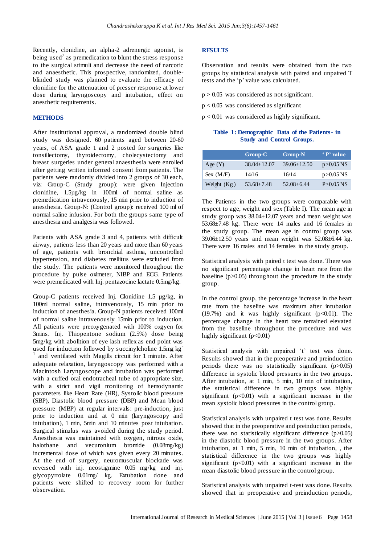Recently, clonidine, an alpha-2 adrenergic agonist, is being used<sup>7</sup> as premedication to blunt the stress response to the surgical stimuli and decrease the need of narcotic and anaesthetic. This prospective, randomized, doubleblinded study was planned to evaluate the efficacy of clonidine for the attenuation of presser response at lower dose during laryngoscopy and intubation, effect on anesthetic requirements.

#### **METHODS**

After institutional approval, a randomized double blind study was designed. 60 patients aged between 20-60 years, of ASA grade 1 and 2 posted for surgeries like tonsillectomy, thyroidectomy, cholecystectomy and breast surgeries under general anaesthesia were enrolled after getting written informed consent from patients. The patients were randomly divided into 2 groups of 30 each, viz: Group-C (Study group): were given Injection clonidine, 1.5µg/kg in 100ml of normal saline as premedication intravenously, 15 min prior to induction of anesthesia. Group-N: (Control group): received 100 ml of normal saline infusion. For both the groups same type of anesthesia and analgesia was followed.

Patients with ASA grade 3 and 4, patients with difficult airway, patients less than 20 years and more than 60 years of age, patients with bronchial asthma, uncontrolled hypertension, and diabetes mellitus were excluded from the study. The patients were monitored throughout the procedure by pulse oximeter, NIBP and ECG. Patients were premedicated with Inj. pentazocine lactate 0.5mg/kg.

Group-C patients received Inj. Clonidine 1.5 µg/kg, in 100ml normal saline, intravenously, 15 min prior to induction of anesthesia. Group-N patients received 100ml of normal saline intravenously 15min prior to induction. All patients were preoxygenated with 100% oxgyen for 3mins. Inj. Thiopentone sodium (2.5%) dose being 5mg/kg with abolition of eye lash reflex as end point was used for induction followed by succinylcholine 1.5mg kg<sup>-</sup> 1 and ventilated with Magills circuit for 1 minute. After adequate relaxation, laryngoscopy was performed with a Macintosh Laryngoscope and intubation was performed with a cuffed oral endotracheal tube of appropriate size, with a strict and vigil monitoring of hemodynamic parameters like Heart Rate (HR), Systolic blood pressure (SBP), Diastolic blood pressure (DBP) and Mean blood pressure (MBP) at regular intervals: pre-induction, just prior to induction and at 0 min (laryngoscopy and intubation), 1 min, 5min and 10 minutes post intubation. Surgical stimulus was avoided during the study period. Anesthesia was maintained with oxygen, nitrous oxide, halothane and vecuronium bromide (0.08mg/kg) incremental dose of which was given every 20 minutes. At the end of surgery, neuromuscular blockade was reversed with inj. neostigmine 0.05 mg/kg and inj. glycopyrrolate 0.01mg/ kg. Extubation done and patients were shifted to recovery room for further observation.

#### **RESULTS**

Observation and results were obtained from the two groups by statistical analysis with paired and unpaired T tests and the 'p' value was calculated.

- $p > 0.05$  was considered as not significant.
- $p < 0.05$  was considered as significant
- p < 0.01 was considered as highly significant.

## **Table 1: Demographic Data of the Patients- in Study and Control Groups.**

|               | $Group-C$       | <b>Group-N</b>    | P' value      |
|---------------|-----------------|-------------------|---------------|
| Age $(Y)$     | $38.04 + 12.07$ | $39.06 \pm 12.50$ | $p > 0.05$ NS |
| Sex $(M/F)$   | 14/16           | 16/14             | $p > 0.05$ NS |
| Weight $(Kg)$ | $53.68 + 7.48$  | $52.08 + 6.44$    | $P > 0.05$ NS |

The Patients in the two groups were comparable with respect to age, weight and sex (Table I). The mean age in study group was 38.04±12.07 years and mean weight was 53.68±7.48 kg. There were 14 males and 16 females in the study group. The mean age in control group was 39.06±12.50 years and mean weight was 52.08±6.44 kg. There were 16 males and 14 females in the study group.

Statistical analysis with paired t test was done. There was no significant percentage change in heart rate from the baseline  $(p>0.05)$  throughout the procedure in the study group.

In the control group, the percentage increase in the heart rate from the baseline was maximum after intubation (19.7%) and it was highly significant  $(p<0.01)$ . The percentage change in the heart rate remained elevated from the baseline throughout the procedure and was highly significant (p<0.01)

Statistical analysis with unpaired 't' test was done. Results showed that in the preoperative and preinduction periods there was no statistically significant (p>0.05) difference in systolic blood pressures in the two groups. After intubation, at 1 min, 5 min, 10 min of intubation, the statistical difference in two groups was highly significant ( $p<0.01$ ) with a significant increase in the mean systolic blood pressures in the control group.

Statistical analysis with unpaired t test was done. Results showed that in the preoperative and preinduction periods, there was no statistically significant difference  $(p>0.05)$ in the diastolic blood pressure in the two groups. After intubation, at 1 min, 5 min, 10 min of intubation, , the statistical difference in the two groups was highly significant ( $p<0.01$ ) with a significant increase in the mean diastolic blood pressure in the control group.

Statistical analysis with unpaired t-test was done. Results showed that in preoperative and preinduction periods,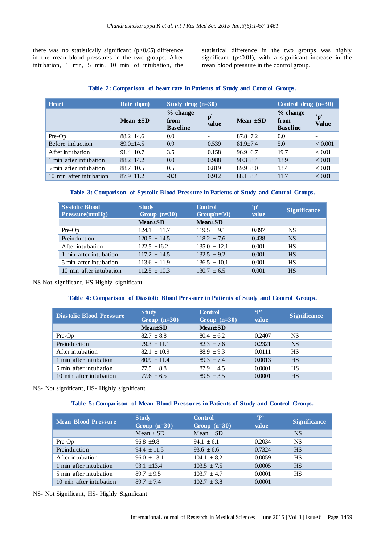there was no statistically significant (p>0.05) difference in the mean blood pressures in the two groups. After intubation, 1 min, 5 min, 10 min of intubation, the statistical difference in the two groups was highly significant ( $p<0.01$ ), with a significant increase in the mean blood pressure in the control group.

# **Table 2: Comparison of heart rate in Patients of Study and Control Groups.**

| <b>Heart</b>            | Rate (bpm)      | Study drug $(n=30)$                 |                              |                | Control drug $(n=30)$               |                               |
|-------------------------|-----------------|-------------------------------------|------------------------------|----------------|-------------------------------------|-------------------------------|
|                         | Mean $\pm SD$   | % change<br>from<br><b>Baseline</b> | $p^{\prime}$<br>value        | Mean $\pm SD$  | % change<br>from<br><b>Baseline</b> | $\mathbf{p}'$<br><b>Value</b> |
| Pre-Op                  | $88.2 \pm 14.6$ | 0.0                                 | $\qquad \qquad \blacksquare$ | $87.8 \pm 7.2$ | 0.0                                 |                               |
| Before induction        | $89.0 \pm 14.5$ | 0.9                                 | 0.539                        | $81.9 + 7.4$   | 5.0                                 | < 0.001                       |
| After intubation        | $91.4 \pm 10.7$ | 3.5                                 | 0.158                        | $96.9 \pm 6.7$ | 19.7                                | < 0.01                        |
| 1 min after intubation  | $88.2 + 14.2$   | 0.0                                 | 0.988                        | $90.3 \pm 8.4$ | 13.9                                | < 0.01                        |
| 5 min after intubation  | $88.7 \pm 10.5$ | 0.5                                 | 0.819                        | $89.9 + 8.0$   | 13.4                                | < 0.01                        |
| 10 min after intubation | $87.9 \pm 11.2$ | $-0.3$                              | 0.912                        | $88.1 \pm 8.4$ | 11.7                                | < 0.01                        |

## **Table 3: Comparison of Systolic Blood Pressure in Patients of Study and Control Groups.**

| Systolic Blood<br>$\vert$ Pressure(mmHg) | <b>Study</b><br>Group $(n=30)$ | <b>Control</b><br>$Group(n=30)$ | $\mathbf{p}'$<br>value | <b>Significance</b> |
|------------------------------------------|--------------------------------|---------------------------------|------------------------|---------------------|
|                                          | $Mean \pm SD$                  | $Mean \pm SD$                   |                        |                     |
| Pre-Op                                   | $124.1 \pm 11.7$               | $119.5 \pm 9.1$                 | 0.097                  | <b>NS</b>           |
| Preinduction                             | $120.5 \pm 14.5$               | $118.2 \pm 7.6$                 | 0.438                  | <b>NS</b>           |
| After intubation                         | $122.5 + 16.2$                 | $135.0 \pm 12.1$                | 0.001                  | <b>HS</b>           |
| 1 min after intubation                   | $117.2 \pm 14.5$               | $132.5 \pm 9.2$                 | 0.001                  | <b>HS</b>           |
| 5 min after intubation                   | $113.6 \pm 11.9$               | $136.5 \pm 10.1$                | 0.001                  | <b>HS</b>           |
| 10 min after intubation                  | $112.5 \pm 10.3$               | $130.7 \pm 6.5$                 | 0.001                  | <b>HS</b>           |

NS-Not significant, HS-Highly significant

# **Table 4: Comparison of Diastolic Blood Pressure in Patients of Study and Control Groups.**

| <b>Diastolic Blood Pressure</b> | <b>Study</b><br>Group $(n=30)$ | <b>Control</b><br>Group $(n=30)$ | $\mathbf{P}$<br>value | <b>Significance</b> |
|---------------------------------|--------------------------------|----------------------------------|-----------------------|---------------------|
|                                 | $Mean \pm SD$                  | $Mean \pm SD$                    |                       |                     |
| Pre-Op                          | $82.7 \pm 8.8$                 | $80.4 \pm 6.2$                   | 0.2407                | <b>NS</b>           |
| Preinduction                    | $79.3 + 11.1$                  | $82.3 + 7.6$                     | 0.2321                | <b>NS</b>           |
| After intubation                | $82.1 \pm 10.9$                | $88.9 + 9.3$                     | 0.0111                | <b>HS</b>           |
| 1 min after intubation          | $80.9 \pm 11.4$                | $89.3 + 7.4$                     | 0.0013                | <b>HS</b>           |
| 5 min after intubation          | $77.5 \pm 8.8$                 | $87.9 + 4.5$                     | 0.0001                | <b>HS</b>           |
| 10 min after intubation         | $77.6 \pm 6.5$                 | $89.5 \pm 3.5$                   | 0.0001                | <b>HS</b>           |

NS- Not significant, HS- Highly significant

## **Table 5: Comparison of Mean Blood Pressures in Patients of Study and Control Groups.**

| <b>Mean Blood Pressure</b> | <b>Study</b><br>Group $(n=30)$ | $\mathbf{P}$<br><b>Control</b><br>Group $(n=30)$<br>value |        | <b>Significance</b> |
|----------------------------|--------------------------------|-----------------------------------------------------------|--------|---------------------|
|                            | $Mean \pm SD$                  | $Mean \pm SD$                                             |        | <b>NS</b>           |
| Pre-Op                     | $96.8 + 9.8$                   | $94.1 \pm 6.1$                                            | 0.2034 | NS                  |
| Preinduction               | $94.4 \pm 11.5$                | $93.6 \pm 6.6$                                            | 0.7324 | <b>HS</b>           |
| After intubation           | $96.0 \pm 13.1$                | $104.1 \pm 8.2$                                           | 0.0059 | HS                  |
| 1 min after intubation     | $93.1 + 13.4$                  | $103.5 \pm 7.5$                                           | 0.0005 | <b>HS</b>           |
| 5 min after intubation     | $89.7 \pm 9.5$                 | $103.7 \pm 4.7$                                           | 0.0001 | HS                  |
| 10 min after intubation    | $89.7 + 7.4$                   | $102.7 + 3.8$                                             | 0.0001 |                     |

NS- Not Significant, HS- Highly Significant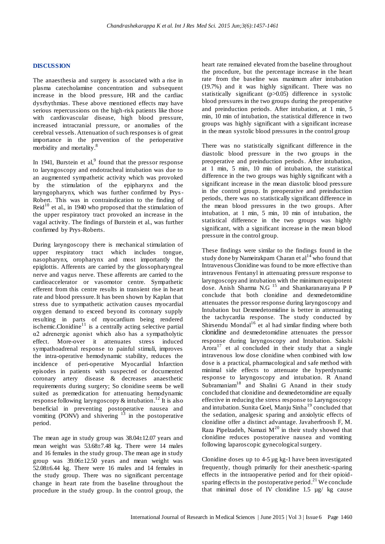#### **DISCUSSION**

The anaesthesia and surgery is associated with a rise in plasma catecholamine concentration and subsequent increase in the blood pressure, HR and the cardiac dysrhythmias. These above mentioned effects may have serious repercussions on the high-risk patients like those with cardiovascular disease, high blood pressure, increased intracranial pressure, or anomalies of the cerebral vessels. Attenuation of such responses is of great importance in the prevention of the perioperative morbidity and mortality.<sup>8</sup>

In 1941, Burstein et al, $9$  found that the pressor response to laryngoscopy and endotracheal intubation was due to an augmented sympathetic activity which was provoked by the stimulation of the epipharynx and the laryngopharynx, which was further confirmed by Prys-Robert. This was in contraindication to the finding of Reid $10$  et al., in 1940 who proposed that the stimulation of the upper respiratory tract provoked an increase in the vagal activity. The findings of Burstein et al., was further confirmed by Prys-Roberts.

During laryngoscopy there is mechanical stimulation of upper respiratory tract which includes tongue, nasopharynx, oropharynx and most importantly the epiglottis. Afferents are carried by the glossopharyngeal nerve and vagus nerve. These afferents are carried to the cardioaccelerator or vasomotor centre. Sympathetic efferent from this centre results in transient rise in heart rate and blood pressure. It has been shown by Kaplan that stress due to sympathetic activation causes myocardial oxygen demand to exceed beyond its coronary supply resulting in parts of myocardium being rendered ischemic.Clonidine $11$  is a centrally acting selective partial α2 adrenergic agonist which also has a sympatholytic effect. More-over it attenuates stress induced sympathoadrenal response to painful stimuli, improves the intra-operative hemodynamic stability, reduces the incidence of peri-operative Myocardial Infarction episodes in patients with suspected or documented coronary artery disease & decreases anaesthetic requirements during surgery; So clonidine seems be well suited as premedication for attenuating hemodynamic response following laryngoscopy & intubation.<sup>12</sup> It is also beneficial in preventing postoperative nausea and vomiting (PONV) and shivering  $13$  in the postoperative period.

The mean age in study group was 38.04±12.07 years and mean weight was 53.68±7.48 kg. There were 14 males and 16 females in the study group. The mean age in study group was 39.06±12.50 years and mean weight was 52.08±6.44 kg. There were 16 males and 14 females in the study group. There was no significant percentage change in heart rate from the baseline throughout the procedure in the study group. In the control group, the heart rate remained elevated from the baseline throughout the procedure, but the percentage increase in the heart rate from the baseline was maximum after intubation (19.7%) and it was highly significant. There was no statistically significant (p>0.05) difference in systolic blood pressures in the two groups during the preoperative and preinduction periods. After intubation, at 1 min, 5 min, 10 min of intubation, the statistical difference in two groups was highly significant with a significant increase in the mean systolic blood pressures in the control group

There was no statistically significant difference in the diastolic blood pressure in the two groups in the preoperative and preinduction periods. After intubation, at 1 min, 5 min, 10 min of intubation, the statistical difference in the two groups was highly significant with a significant increase in the mean diastolic blood pressure in the control group. In preoperative and preinduction periods, there was no statistically significant difference in the mean blood pressures in the two groups. After intubation, at 1 min, 5 min, 10 min of intubation, the statistical difference in the two groups was highly significant, with a significant increase in the mean blood pressure in the control group.

These findings were similar to the findings found in the study done by Nameirakpam Charan et  $al<sup>14</sup>$  who found that Intravenous Clonidine was found to be more effective than intravenous Fentanyl in attenuating pressure response to laryngoscopy and intubation with the minimum equipotent dose. Anish Sharma N.G <sup>15</sup> and Shankaranarayana P P conclude that both clonidine and dexmedetomidine attenuates the pressor response during laryngoscopy and Intubation but Dexmedetomidine is better in attenuating the tachycardia response. The study conducted by Shirsendu Mondal $16$  et al had similar finding where both clonidine and dexmedetomidine attenuates the pressor response during laryngoscopy and Intubation. Sakshi Arora $17$  et al concluded in their study that a single intravenous low dose clonidine when combined with low dose is a practical, pharmacological and safe method with minimal side effects to attenuate the hyperdynamic response to laryngoscopy and intubation. R Anand Subramaniam<sup>18</sup> and Shalini G Anand in their study concluded that clonidine and dexmedetomidine are equally effective in reducing the stress response to Laryngoscopy and intubation. Sunita Goel, Manju Sinha $19$  concluded that the sedation, analgesic sparing and anxiolytic effects of clonidine offer a distinct advantage. Javaherfroosh F, M. Raza Pipelzadeh, Namazi  $M^{20}$  in their study showed that clonidine reduces postoperative nausea and vomiting following laparoscopic gynecological surgery.

Clonidine doses up to 4-5 µg kg-1 have been investigated frequently, though primarily for their anesthetic-sparing effects in the intraoperative period and for their opioidsparing effects in the postoperative period.<sup>21</sup> We conclude that minimal dose of IV clonidine 1.5 µg/ kg cause